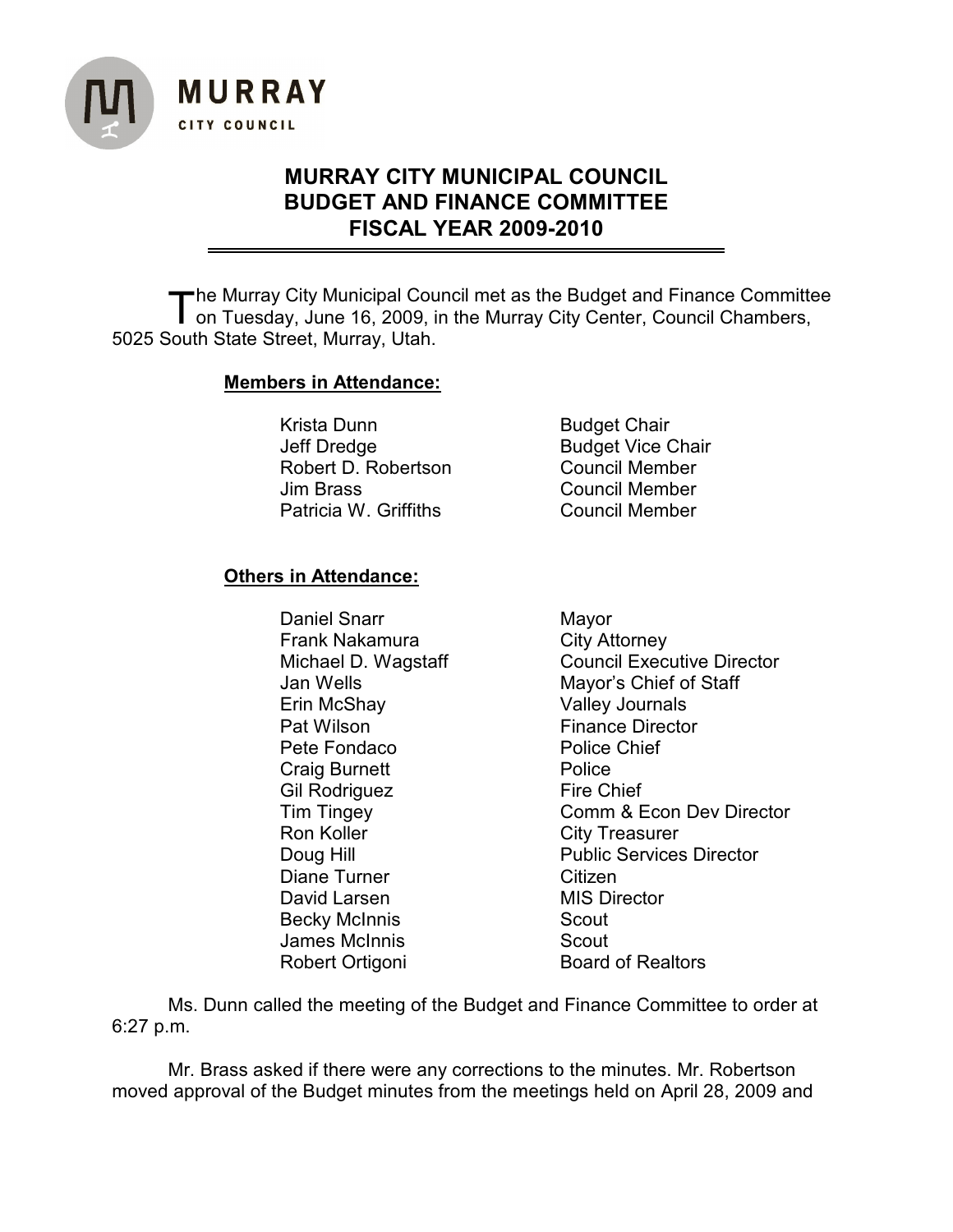

## **MURRAY CITY MUNICIPAL COUNCIL BUDGET AND FINANCE COMMITTEE FISCAL YEAR 2009-2010**

The Murray City Municipal Council met as the Budget and Finance Committ<br>on Tuesday, June 16, 2009, in the Murray City Center, Council Chambers, he Murray City Municipal Council met as the Budget and Finance Committee 5025 South State Street, Murray, Utah.

## **Members in Attendance:**

Krista Dunn Budget Chair Jeff Dredge **Budget Vice Chair** Robert D. Robertson Council Member Jim Brass Council Member Patricia W. Griffiths Council Member

## **Others in Attendance:**

Daniel Snarr Mayor Frank Nakamura City Attorney Erin McShay Valley Journals Pat Wilson **Finance Director**<br> **Pete Fondaco** Police Chief Pete Fondaco Craig Burnett Police Gil Rodriguez Fire Chief Ron Koller **City Treasurer** Diane Turner **Citizen** David Larsen MIS Director Becky McInnis Scout James McInnis **Scout** Robert Ortigoni Board of Realtors

Michael D. Wagstaff Council Executive Director Jan Wells **Mayor's Chief of Staff** Tim Tingey **Comm & Econ Dev Director** Doug Hill **Doug Hill** Public Services Director

Ms. Dunn called the meeting of the Budget and Finance Committee to order at 6:27 p.m.

Mr. Brass asked if there were any corrections to the minutes. Mr. Robertson moved approval of the Budget minutes from the meetings held on April 28, 2009 and